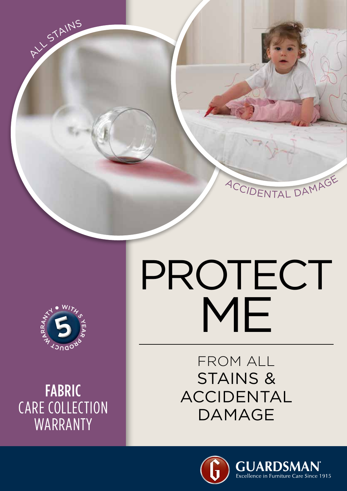



FABRIC CARE COLLECTION WARRANTY

## PROTECT ME

FROM ALL STAINS & ACCIDENTAL DAMAGE